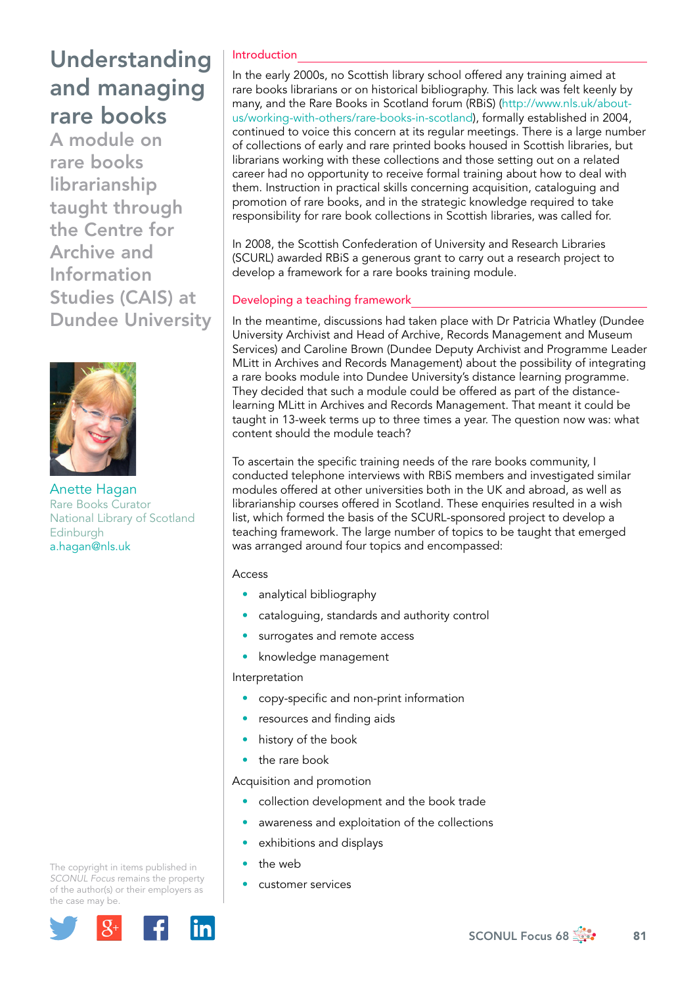# Understanding and managing rare books

A module on rare books librarianship taught through the Centre for Archive and Information Studies (CAIS) at Dundee University



Anette Hagan Rare Books Curator National Library of Scotland Edinburgh [a.hagan@nls.uk](mailto:a.hagan@nls.uk)

### Introduction

In the early 2000s, no Scottish library school offered any training aimed at rare books librarians or on historical bibliography. This lack was felt keenly by many, and the Rare Books in Scotland forum (RBiS) ([http://www.nls.uk/about](http://www.nls.uk/about-us/working-with-others/rare-books-in-scotland)[us/working-with-others/rare-books-in-scotland\)](http://www.nls.uk/about-us/working-with-others/rare-books-in-scotland), formally established in 2004, continued to voice this concern at its regular meetings. There is a large number of collections of early and rare printed books housed in Scottish libraries, but librarians working with these collections and those setting out on a related career had no opportunity to receive formal training about how to deal with them. Instruction in practical skills concerning acquisition, cataloguing and promotion of rare books, and in the strategic knowledge required to take responsibility for rare book collections in Scottish libraries, was called for.

In 2008, the Scottish Confederation of University and Research Libraries (SCURL) awarded RBiS a generous grant to carry out a research project to develop a framework for a rare books training module.

### Developing a teaching framework

In the meantime, discussions had taken place with Dr Patricia Whatley (Dundee University Archivist and Head of Archive, Records Management and Museum Services) and Caroline Brown (Dundee Deputy Archivist and Programme Leader MLitt in Archives and Records Management) about the possibility of integrating a rare books module into Dundee University's distance learning programme. They decided that such a module could be offered as part of the distancelearning MLitt in Archives and Records Management. That meant it could be taught in 13-week terms up to three times a year. The question now was: what content should the module teach?

To ascertain the specific training needs of the rare books community, I conducted telephone interviews with RBiS members and investigated similar modules offered at other universities both in the UK and abroad, as well as librarianship courses offered in Scotland. These enquiries resulted in a wish list, which formed the basis of the SCURL-sponsored project to develop a teaching framework. The large number of topics to be taught that emerged was arranged around four topics and encompassed:

#### Access

- analytical bibliography
- cataloguing, standards and authority control
- surrogates and remote access
- knowledge management

#### Interpretation

- copy-specific and non-print information
- resources and finding aids
- history of the book
- the rare book

Acquisition and promotion

- collection development and the book trade
- awareness and exploitation of the collections
- exhibitions and displays
- the web
- customer services

The copyright in items published in *SCONUL Focus* remains the property of the author(s) or their employers as the case may be.

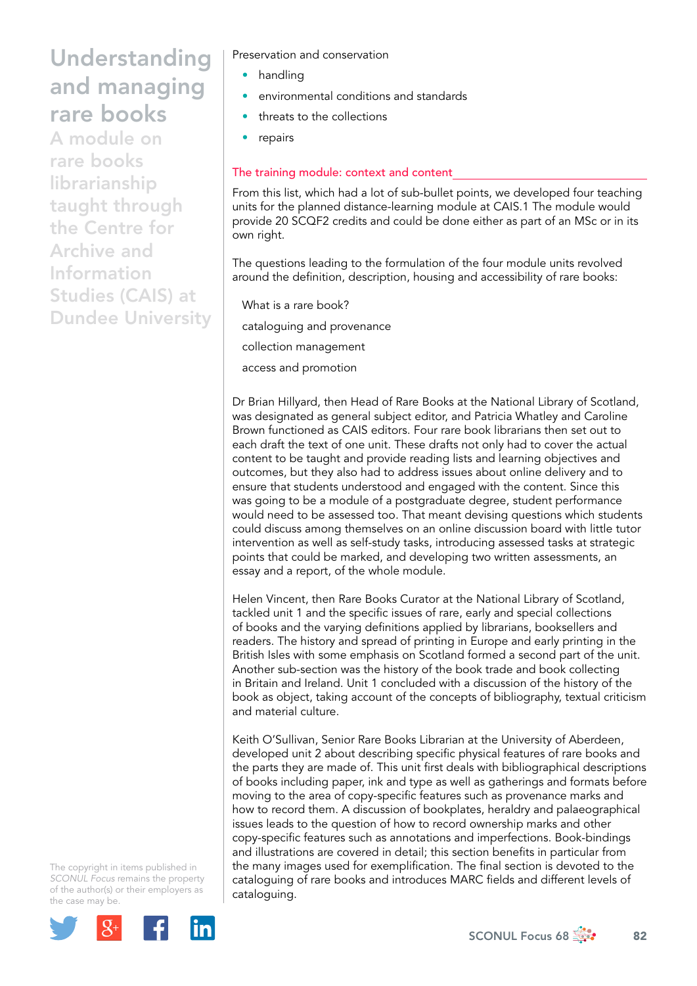# Understanding and managing rare books

A module on rare books librarianship taught through the Centre for Archive and Information Studies (CAIS) at Dundee University Preservation and conservation

- handling
- environmental conditions and standards
- threats to the collections
- repairs

### The training module: context and content

From this list, which had a lot of sub-bullet points, we developed four teaching units for the planned distance-learning module at CAIS.1 The module would provide 20 SCQF2 credits and could be done either as part of an MSc or in its own right.

The questions leading to the formulation of the four module units revolved around the definition, description, housing and accessibility of rare books:

What is a rare book? cataloguing and provenance collection management

access and promotion

Dr Brian Hillyard, then Head of Rare Books at the National Library of Scotland, was designated as general subject editor, and Patricia Whatley and Caroline Brown functioned as CAIS editors. Four rare book librarians then set out to each draft the text of one unit. These drafts not only had to cover the actual content to be taught and provide reading lists and learning objectives and outcomes, but they also had to address issues about online delivery and to ensure that students understood and engaged with the content. Since this was going to be a module of a postgraduate degree, student performance would need to be assessed too. That meant devising questions which students could discuss among themselves on an online discussion board with little tutor intervention as well as self-study tasks, introducing assessed tasks at strategic points that could be marked, and developing two written assessments, an essay and a report, of the whole module.

Helen Vincent, then Rare Books Curator at the National Library of Scotland, tackled unit 1 and the specific issues of rare, early and special collections of books and the varying definitions applied by librarians, booksellers and readers. The history and spread of printing in Europe and early printing in the British Isles with some emphasis on Scotland formed a second part of the unit. Another sub-section was the history of the book trade and book collecting in Britain and Ireland. Unit 1 concluded with a discussion of the history of the book as object, taking account of the concepts of bibliography, textual criticism and material culture.

Keith O'Sullivan, Senior Rare Books Librarian at the University of Aberdeen, developed unit 2 about describing specific physical features of rare books and the parts they are made of. This unit first deals with bibliographical descriptions of books including paper, ink and type as well as gatherings and formats before moving to the area of copy-specific features such as provenance marks and how to record them. A discussion of bookplates, heraldry and palaeographical issues leads to the question of how to record ownership marks and other copy-specific features such as annotations and imperfections. Book-bindings and illustrations are covered in detail; this section benefits in particular from the many images used for exemplification. The final section is devoted to the cataloguing of rare books and introduces MARC fields and different levels of cataloguing.

The copyright in items published in *SCONUL Focus* remains the property of the author(s) or their employers as the case may be.